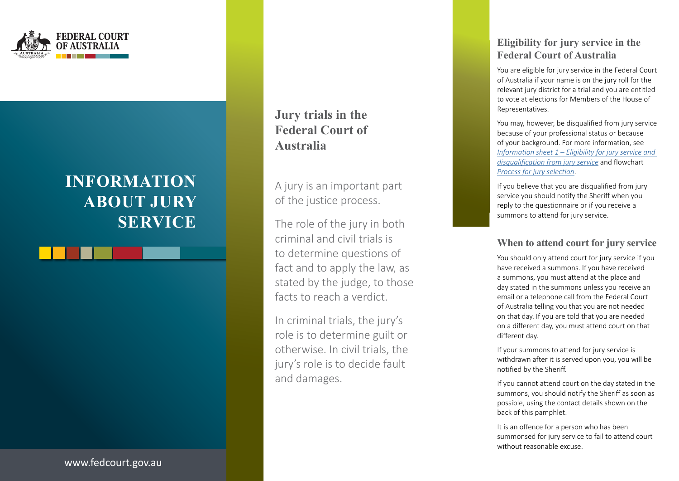

# **INFORMATION ABOUT JURY SERVICE**

**Jury trials in the Federal Court of Australia**

A jury is an important part of the justice process.

The role of the jury in both criminal and civil trials is to determine questions of fact and to apply the law, as stated by the judge, to those facts to reach a verdict.

In criminal trials, the jury's role is to determine guilt or otherwise. In civil trials, the jury's role is to decide fault and damages.

# **Eligibility for jury service in the Federal Court of Australia**

You are eligible for jury service in the Federal Court of Australia if your name is on the jury roll for the relevant jury district for a trial and you are entitled to vote at elections for Members of the House of Representatives.

You may, however, be disqualified from jury service because of your professional status or because of your background. For more information, see *[Information sheet 1 – Eligibility for jury service and](https://www.fedcourt.gov.au/going-to-court/jury/eligibility)  [disqualification from jury service](https://www.fedcourt.gov.au/going-to-court/jury/eligibility)* and flowchart *[Process for jury selection](https://www.fedcourt.gov.au/going-to-court/jury/jury-flowchart)* .

If you believe that you are disqualified from jury service you should notify the Sheriff when you reply to the questionnaire or if you receive a summons to attend for jury service.

## **When to attend court for jury service**

You should only attend court for jury service if you have received a summons. If you have received a summons, you must attend at the place and day stated in the summons unless you receive an email or a telephone call from the Federal Court of Australia telling you that you are not needed on that day. If you are told that you are needed on a different day, you must attend court on that different day.

If your summons to attend for jury service is withdrawn after it is served upon you, you will be notified by the Sheriff.

If you cannot attend court on the day stated in the summons, you should notify the Sheriff as soon as possible, using the contact details shown on the back of this pamphlet.

It is an offence for a person who has been summonsed for jury service to fail to attend court without reasonable excuse.